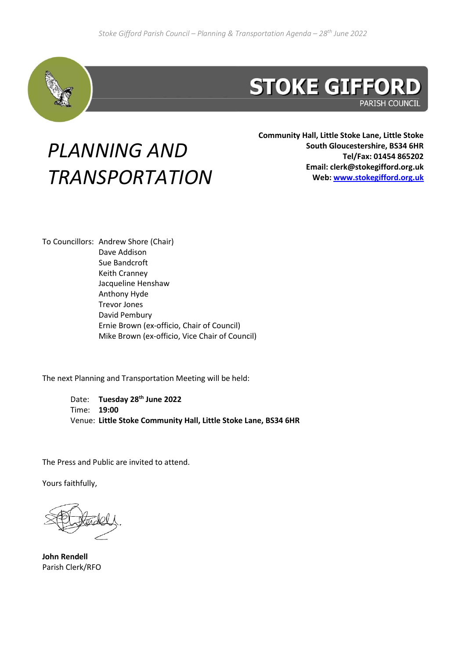

## **STOKE GIFFORD**

**PARISH COUNCIL** 

## *PLANNING AND TRANSPORTATION*

**Community Hall, Little Stoke Lane, Little Stoke South Gloucestershire, BS34 6HR Tel/Fax: 01454 865202 Email: clerk@stokegifford.org.uk Web: [www.stokegifford.org.uk](http://www.stokegifford.org.uk/)**

To Councillors: Andrew Shore (Chair) Dave Addison Sue Bandcroft Keith Cranney Jacqueline Henshaw Anthony Hyde Trevor Jones David Pembury Ernie Brown (ex-officio, Chair of Council) Mike Brown (ex-officio, Vice Chair of Council)

The next Planning and Transportation Meeting will be held:

Date: **Tuesday 28 th June 2022** Time: **19:00** Venue: **Little Stoke Community Hall, Little Stoke Lane, BS34 6HR**

The Press and Public are invited to attend.

Yours faithfully,

**John Rendell** Parish Clerk/RFO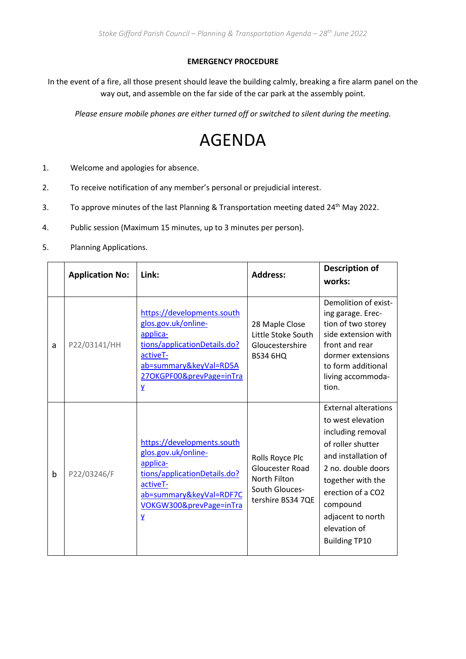## **EMERGENCY PROCEDURE**

In the event of a fire, all those present should leave the building calmly, breaking a fire alarm panel on the way out, and assemble on the far side of the car park at the assembly point.

*Please ensure mobile phones are either turned off or switched to silent during the meeting.*

## AGENDA

- 1. Welcome and apologies for absence.
- 2. To receive notification of any member's personal or prejudicial interest.
- 3. To approve minutes of the last Planning & Transportation meeting dated 24<sup>th</sup> May 2022.
- 4. Public session (Maximum 15 minutes, up to 3 minutes per person).
- 5. Planning Applications.

|   | <b>Application No:</b> | Link:                                                                                                                                                                                      | <b>Address:</b>                                                                                  | Description of<br>works:                                                                                                                                                                                                                                   |
|---|------------------------|--------------------------------------------------------------------------------------------------------------------------------------------------------------------------------------------|--------------------------------------------------------------------------------------------------|------------------------------------------------------------------------------------------------------------------------------------------------------------------------------------------------------------------------------------------------------------|
| a | P22/03141/HH           | https://developments.south<br>glos.gov.uk/online-<br>applica-<br>tions/applicationDetails.do?<br>activeT-<br>ab=summary&keyVal=RD5A<br>27OKGPF00&prevPage=inTra<br>$\overline{\mathbf{Y}}$ | 28 Maple Close<br>Little Stoke South<br>Gloucestershire<br><b>BS34 6HQ</b>                       | Demolition of exist-<br>ing garage. Erec-<br>tion of two storey<br>side extension with<br>front and rear<br>dormer extensions<br>to form additional<br>living accommoda-<br>tion.                                                                          |
| b | P22/03246/F            | https://developments.south<br>glos.gov.uk/online-<br>applica-<br>tions/applicationDetails.do?<br>activeT-<br>ab=summary&keyVal=RDF7C<br>VOKGW300&prevPage=inTra<br>$\overline{\mathbf{Y}}$ | Rolls Royce Plc<br><b>Gloucester Road</b><br>North Filton<br>South Glouces-<br>tershire BS34 7QE | <b>External alterations</b><br>to west elevation<br>including removal<br>of roller shutter<br>and installation of<br>2 no. double doors<br>together with the<br>erection of a CO2<br>compound<br>adjacent to north<br>elevation of<br><b>Building TP10</b> |